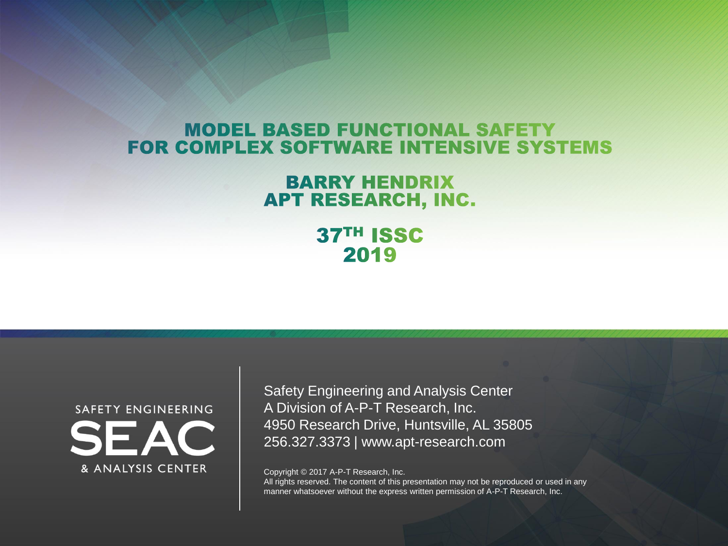#### **MODEL BASED FUNCTIONAL SAFETY FOR COMPLEX SOFTWARE INTENSIVE SYSTEMS**

#### **BARRY HENDRIX** APT RESEARCH, INC.

37TH ISSC 2019



Safety Engineering and Analysis Center A Division of A-P-T Research, Inc. 4950 Research Drive, Huntsville, AL 35805 256.327.3373 | www.apt-research.com

Copyright © 2017 A-P-T Research, Inc.

All rights reserved. The content of this presentation may not be reproduced or used in any manner whatsoever without the express written permission of A-P-T Research, Inc.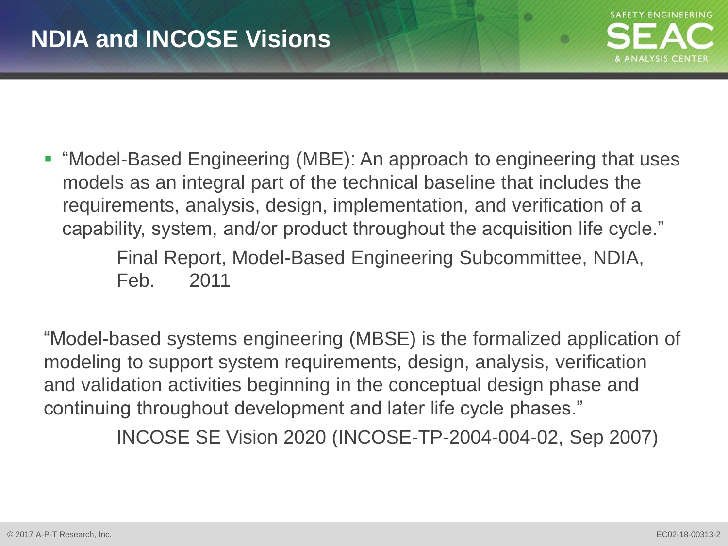m

**- "Model-Based Engineering (MBE): An approach to engineering that uses** models as an integral part of the technical baseline that includes the requirements, analysis, design, implementation, and verification of a capability, system, and/or product throughout the acquisition life cycle."

> Final Report, Model-Based Engineering Subcommittee, NDIA, Feb. 2011

"Model-based systems engineering (MBSE) is the formalized application of modeling to support system requirements, design, analysis, verification and validation activities beginning in the conceptual design phase and continuing throughout development and later life cycle phases."

INCOSE SE Vision 2020 (INCOSE-TP-2004-004-02, Sep 2007)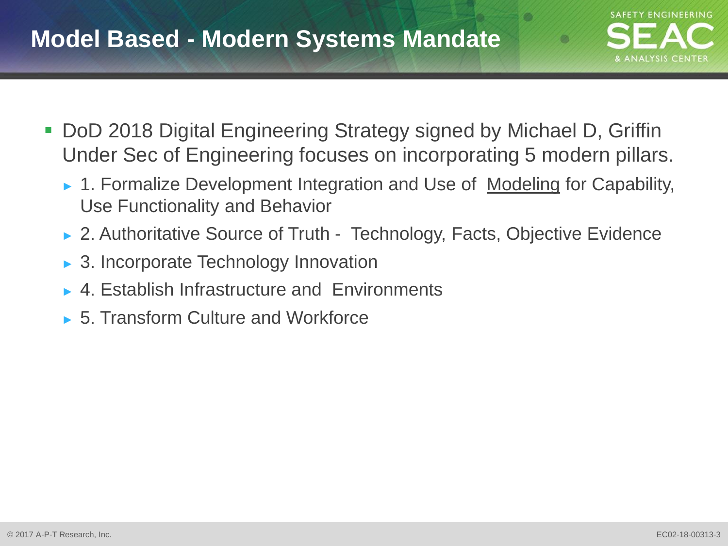## **Model Based - Modern Systems Mandate**



- DoD 2018 Digital Engineering Strategy signed by Michael D, Griffin Under Sec of Engineering focuses on incorporating 5 modern pillars.
	- ► 1. Formalize Development Integration and Use of Modeling for Capability, Use Functionality and Behavior
	- ► 2. Authoritative Source of Truth Technology, Facts, Objective Evidence
	- ► 3. Incorporate Technology Innovation
	- ► 4. Establish Infrastructure and Environments
	- ► 5. Transform Culture and Workforce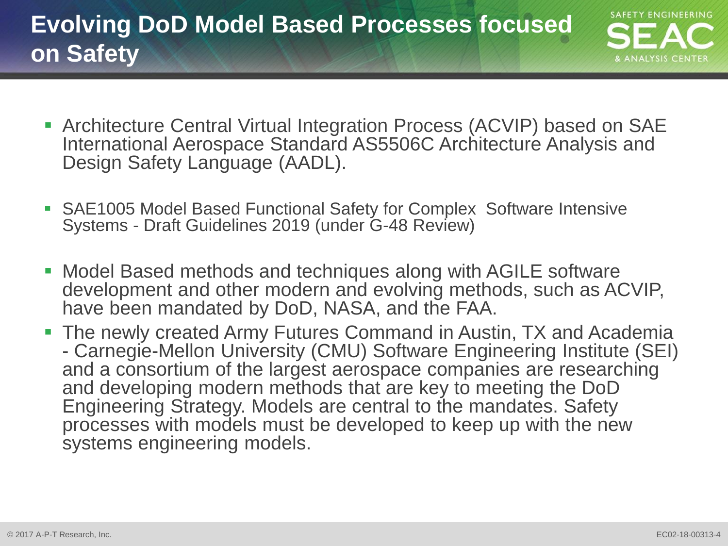- **SAFETY ENGINEERING**
- Architecture Central Virtual Integration Process (ACVIP) based on SAE International Aerospace Standard AS5506C Architecture Analysis and Design Safety Language (AADL).
- SAE1005 Model Based Functional Safety for Complex Software Intensive Systems - Draft Guidelines 2019 (under G-48 Review)
- Model Based methods and techniques along with AGILE software development and other modern and evolving methods, such as ACVIP, have been mandated by DoD, NASA, and the FAA.
- **The newly created Army Futures Command in Austin, TX and Academia** - Carnegie-Mellon University (CMU) Software Engineering Institute (SEI) and a consortium of the largest aerospace companies are researching and developing modern methods that are key to meeting the DoD Engineering Strategy. Models are central to the mandates. Safety processes with models must be developed to keep up with the new systems engineering models.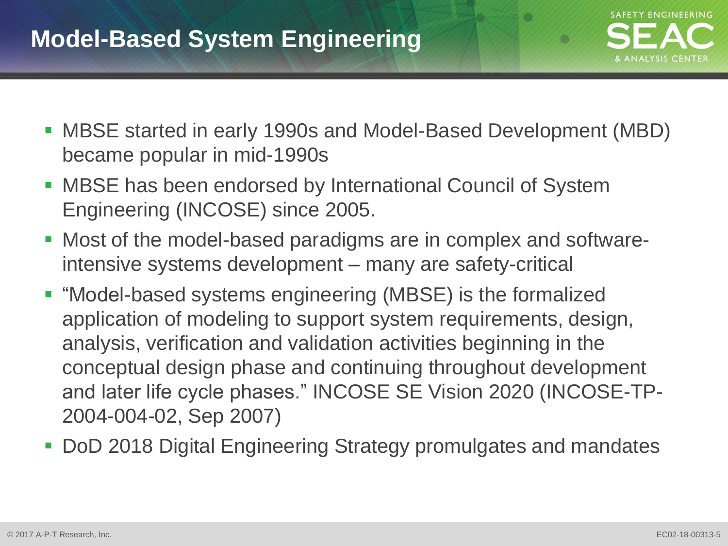## **Model-Based System Engineering**



- MBSE started in early 1990s and Model-Based Development (MBD) became popular in mid-1990s
- MBSE has been endorsed by International Council of System Engineering (INCOSE) since 2005.
- Most of the model-based paradigms are in complex and softwareintensive systems development – many are safety-critical
- "Model-based systems engineering (MBSE) is the formalized application of modeling to support system requirements, design, analysis, verification and validation activities beginning in the conceptual design phase and continuing throughout development and later life cycle phases." INCOSE SE Vision 2020 (INCOSE-TP-2004-004-02, Sep 2007)
- DoD 2018 Digital Engineering Strategy promulgates and mandates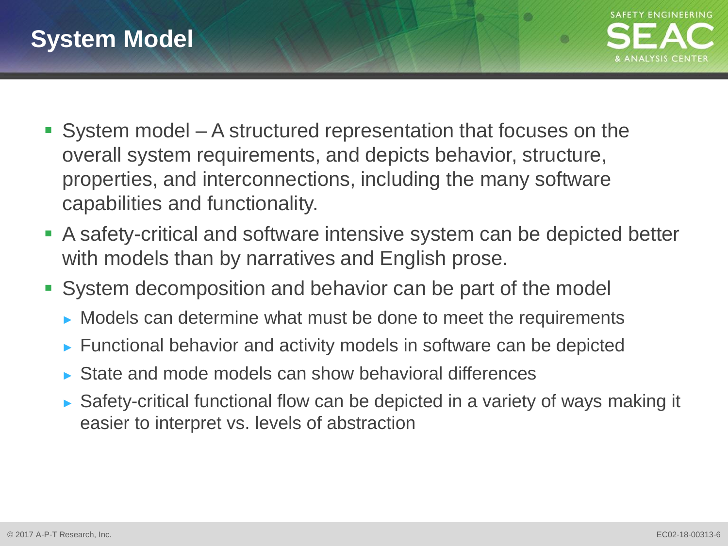

**COL** 

- System model A structured representation that focuses on the overall system requirements, and depicts behavior, structure, properties, and interconnections, including the many software capabilities and functionality.
- A safety-critical and software intensive system can be depicted better with models than by narratives and English prose.
- System decomposition and behavior can be part of the model
	- ► Models can determine what must be done to meet the requirements
	- ► Functional behavior and activity models in software can be depicted
	- ► State and mode models can show behavioral differences
	- ► Safety-critical functional flow can be depicted in a variety of ways making it easier to interpret vs. levels of abstraction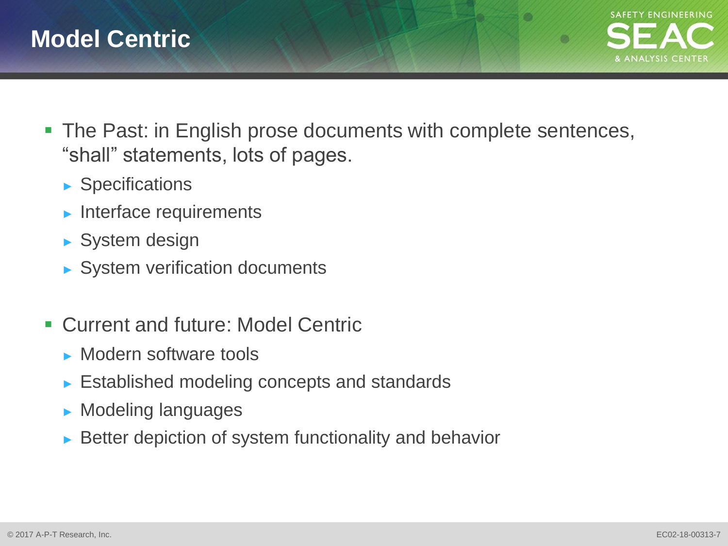

- **The Past: in English prose documents with complete sentences,** "shall" statements, lots of pages.
	- ► Specifications
	- ► Interface requirements
	- ► System design
	- ► System verification documents
- Current and future: Model Centric
	- ► Modern software tools
	- ► Established modeling concepts and standards
	- ► Modeling languages
	- ► Better depiction of system functionality and behavior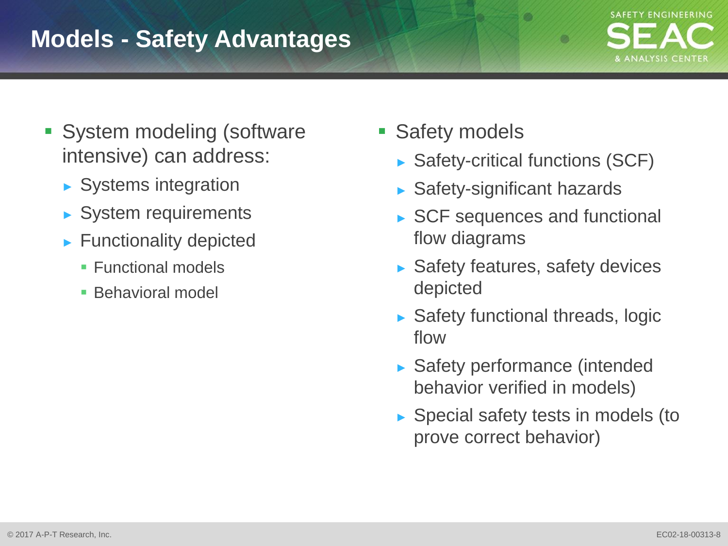## **Models - Safety Advantages**



- **System modeling (software** intensive) can address:
	- ► Systems integration
	- ► System requirements
	- ► Functionality depicted
		- **Functional models**
		- **Behavioral model**
- Safety models
	- ► Safety-critical functions (SCF)

**COL** 

- ► Safety-significant hazards
- ► SCF sequences and functional flow diagrams
- ► Safety features, safety devices depicted
- ► Safety functional threads, logic flow
- ► Safety performance (intended behavior verified in models)
- ► Special safety tests in models (to prove correct behavior)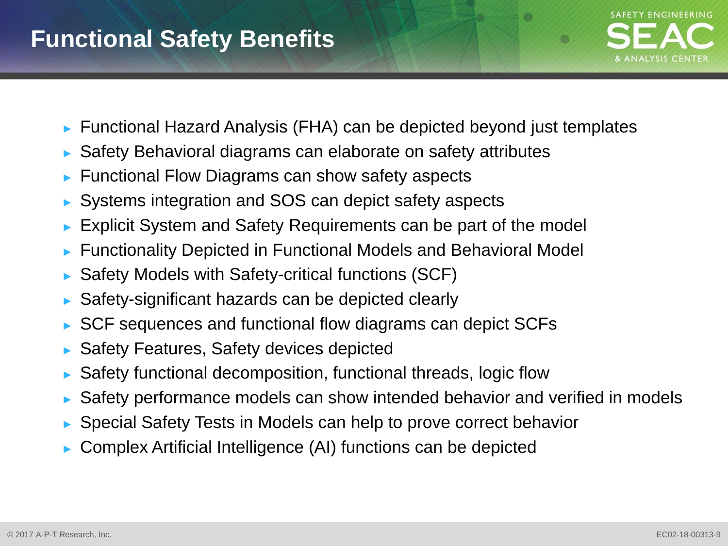## **Functional Safety Benefits**



- ► Functional Hazard Analysis (FHA) can be depicted beyond just templates
- Safety Behavioral diagrams can elaborate on safety attributes
- Functional Flow Diagrams can show safety aspects
- ► Systems integration and SOS can depict safety aspects
- ► Explicit System and Safety Requirements can be part of the model
- ► Functionality Depicted in Functional Models and Behavioral Model
- Safety Models with Safety-critical functions (SCF)
- ► Safety-significant hazards can be depicted clearly
- ► SCF sequences and functional flow diagrams can depict SCFs
- ► Safety Features, Safety devices depicted
- Safety functional decomposition, functional threads, logic flow
- ► Safety performance models can show intended behavior and verified in models
- ► Special Safety Tests in Models can help to prove correct behavior
- ► Complex Artificial Intelligence (AI) functions can be depicted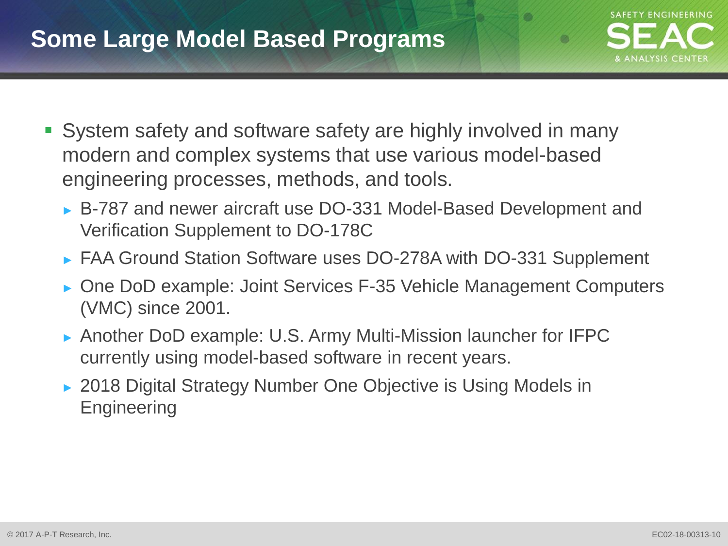## **Some Large Model Based Programs**



**COL** 

- System safety and software safety are highly involved in many modern and complex systems that use various model-based engineering processes, methods, and tools.
	- ► B-787 and newer aircraft use DO-331 Model-Based Development and Verification Supplement to DO-178C
	- ► FAA Ground Station Software uses DO-278A with DO-331 Supplement
	- ► One DoD example: Joint Services F-35 Vehicle Management Computers (VMC) since 2001.
	- ► Another DoD example: U.S. Army Multi-Mission launcher for IFPC currently using model-based software in recent years.
	- ► 2018 Digital Strategy Number One Objective is Using Models in **Engineering**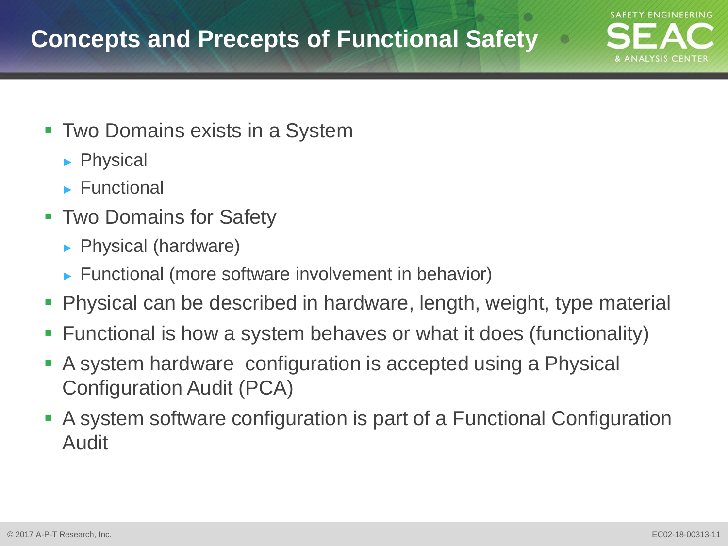## **Concepts and Precepts of Functional Safety**

- **Two Domains exists in a System** 
	- ► Physical
	- ► Functional
- **Two Domains for Safety** 
	- ► Physical (hardware)
	- ► Functional (more software involvement in behavior)
- Physical can be described in hardware, length, weight, type material
- Functional is how a system behaves or what it does (functionality)
- A system hardware configuration is accepted using a Physical Configuration Audit (PCA)
- A system software configuration is part of a Functional Configuration Audit

**SAFETY ENGINEERING**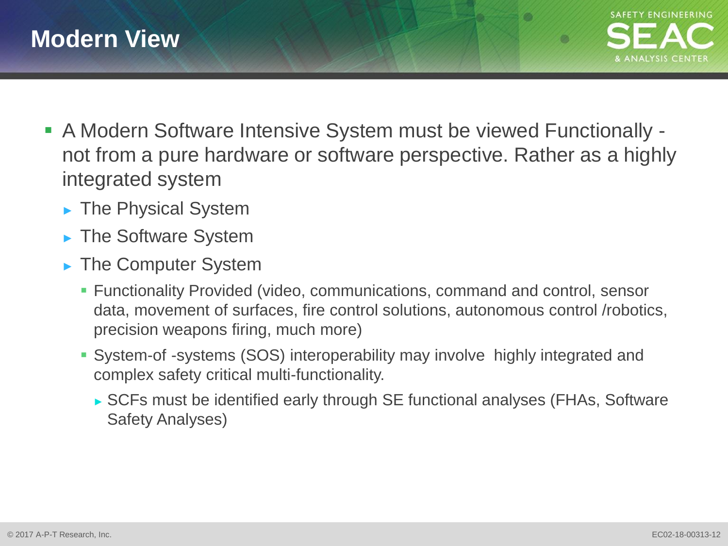

- A Modern Software Intensive System must be viewed Functionally not from a pure hardware or software perspective. Rather as a highly integrated system
	- ► The Physical System
	- ► The Software System
	- ► The Computer System
		- Functionality Provided (video, communications, command and control, sensor data, movement of surfaces, fire control solutions, autonomous control /robotics, precision weapons firing, much more)
		- System-of -systems (SOS) interoperability may involve highly integrated and complex safety critical multi-functionality.
			- ► SCFs must be identified early through SE functional analyses (FHAs, Software Safety Analyses)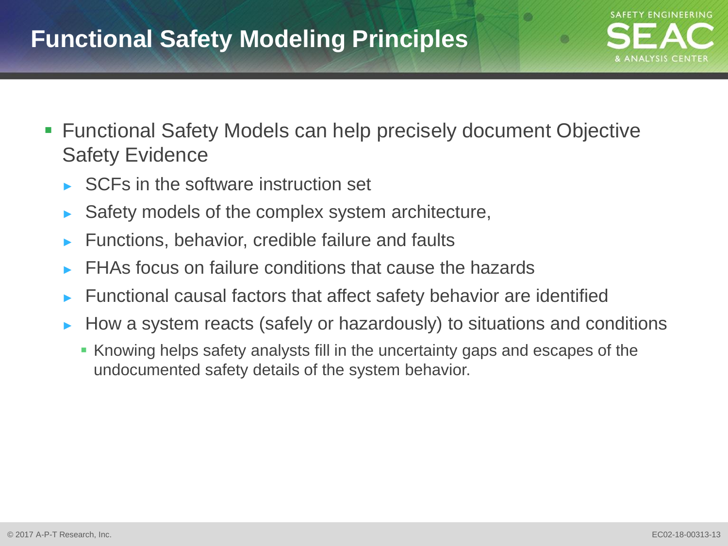## **Functional Safety Modeling Principles**

- Functional Safety Models can help precisely document Objective Safety Evidence
	- SCFs in the software instruction set
	- Safety models of the complex system architecture,
	- ► Functions, behavior, credible failure and faults
	- FHAs focus on failure conditions that cause the hazards
	- Functional causal factors that affect safety behavior are identified
	- ► How a system reacts (safely or hazardously) to situations and conditions
		- Knowing helps safety analysts fill in the uncertainty gaps and escapes of the undocumented safety details of the system behavior.

**SAFETY ENGINEERING**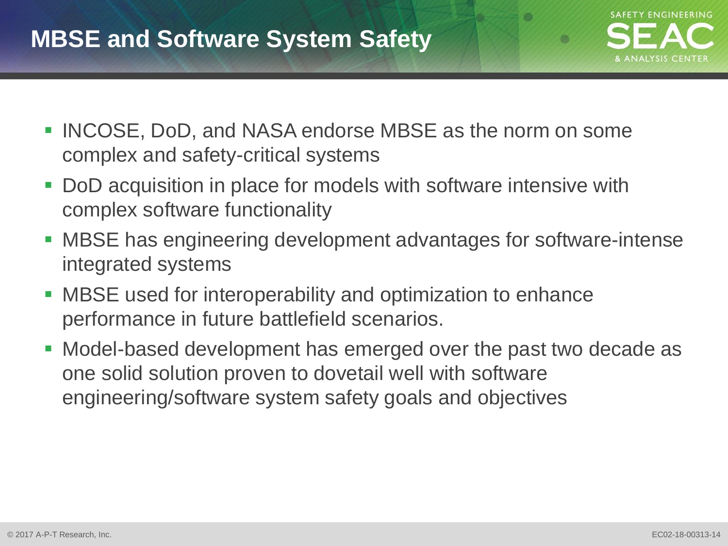## **MBSE and Software System Safety**



- INCOSE, DoD, and NASA endorse MBSE as the norm on some complex and safety-critical systems
- DoD acquisition in place for models with software intensive with complex software functionality
- MBSE has engineering development advantages for software-intense integrated systems
- MBSE used for interoperability and optimization to enhance performance in future battlefield scenarios.
- Model-based development has emerged over the past two decade as one solid solution proven to dovetail well with software engineering/software system safety goals and objectives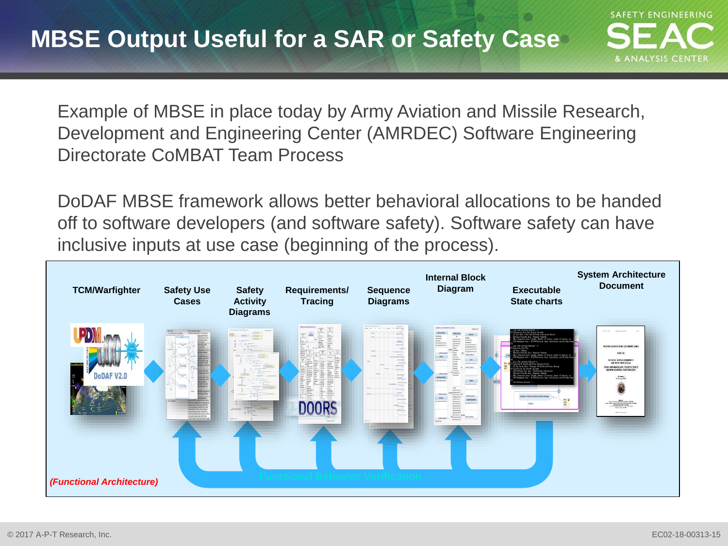Example of MBSE in place today by Army Aviation and Missile Research, Development and Engineering Center (AMRDEC) Software Engineering Directorate CoMBAT Team Process

DoDAF MBSE framework allows better behavioral allocations to be handed off to software developers (and software safety). Software safety can have inclusive inputs at use case (beginning of the process).

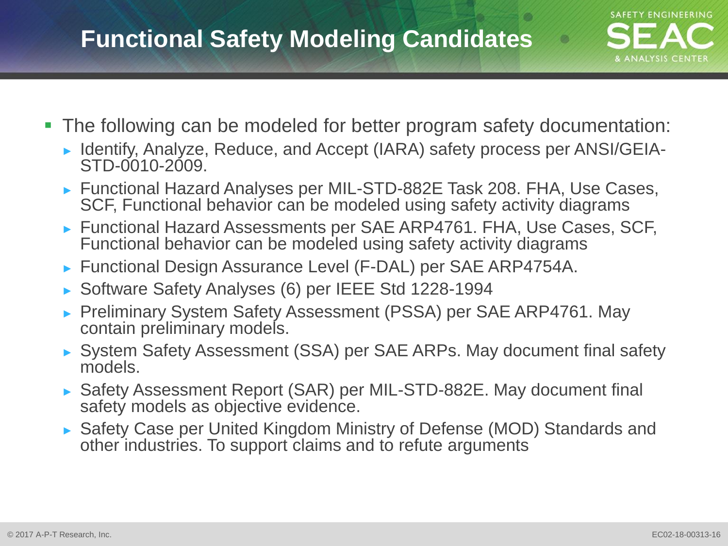## **Functional Safety Modeling Candidates**

- The following can be modeled for better program safety documentation:
	- ► Identify, Analyze, Reduce, and Accept (IARA) safety process per ANSI/GEIA-STD-0010-2009.
	- ► Functional Hazard Analyses per MIL-STD-882E Task 208. FHA, Use Cases, SCF, Functional behavior can be modeled using safety activity diagrams
	- ► Functional Hazard Assessments per SAE ARP4761. FHA, Use Cases, SCF, Functional behavior can be modeled using safety activity diagrams
	- ► Functional Design Assurance Level (F-DAL) per SAE ARP4754A.
	- ► Software Safety Analyses (6) per IEEE Std 1228-1994
	- ► Preliminary System Safety Assessment (PSSA) per SAE ARP4761. May contain preliminary models.
	- ► System Safety Assessment (SSA) per SAE ARPs. May document final safety models.
	- ► Safety Assessment Report (SAR) per MIL-STD-882E. May document final safety models as objective evidence.
	- ► Safety Case per United Kingdom Ministry of Defense (MOD) Standards and other industries. To support claims and to refute arguments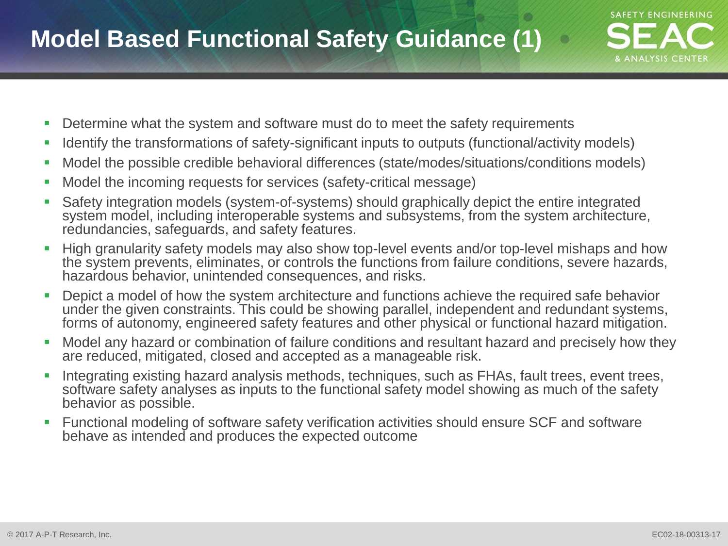- **Determine what the system and software must do to meet the safety requirements**
- I Identify the transformations of safety-significant inputs to outputs (functional/activity models)
- Model the possible credible behavioral differences (state/modes/situations/conditions models)
- **Model the incoming requests for services (safety-critical message)**
- Safety integration models (system-of-systems) should graphically depict the entire integrated system model, including interoperable systems and subsystems, from the system architecture, redundancies, safeguards, and safety features.
- **High granularity safety models may also show top-level events and/or top-level mishaps and how** the system prevents, eliminates, or controls the functions from failure conditions, severe hazards, hazardous behavior, unintended consequences, and risks.
- **Depict a model of how the system architecture and functions achieve the required safe behavior** under the given constraints. This could be showing parallel, independent and redundant systems, forms of autonomy, engineered safety features and other physical or functional hazard mitigation.
- Model any hazard or combination of failure conditions and resultant hazard and precisely how they are reduced, mitigated, closed and accepted as a manageable risk.
- Integrating existing hazard analysis methods, techniques, such as FHAs, fault trees, event trees, software safety analyses as inputs to the functional safety model showing as much of the safety behavior as possible.
- Functional modeling of software safety verification activities should ensure SCF and software behave as intended and produces the expected outcome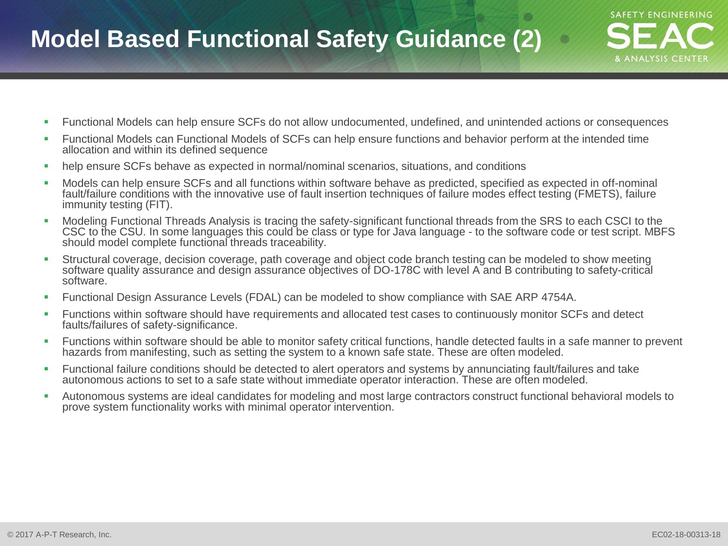## **Model Based Functional Safety Guidance (2)**

- Functional Models can help ensure SCFs do not allow undocumented, undefined, and unintended actions or consequences
- Functional Models can Functional Models of SCFs can help ensure functions and behavior perform at the intended time allocation and within its defined sequence
- help ensure SCFs behave as expected in normal/nominal scenarios, situations, and conditions
- Models can help ensure SCFs and all functions within software behave as predicted, specified as expected in off-nominal fault/failure conditions with the innovative use of fault insertion techniques of failure modes effect testing (FMETS), failure immunity testing (FIT).
- Modeling Functional Threads Analysis is tracing the safety-significant functional threads from the SRS to each CSCI to the CSC to the CSU. In some languages this could be class or type for Java language - to the software code or test script. MBFS should model complete functional threads traceability.
- Structural coverage, decision coverage, path coverage and object code branch testing can be modeled to show meeting software quality assurance and design assurance objectives of DO-178C with level A and B contributing to safety-critical software.
- Functional Design Assurance Levels (FDAL) can be modeled to show compliance with SAE ARP 4754A.
- Functions within software should have requirements and allocated test cases to continuously monitor SCFs and detect faults/failures of safety-significance.
- Functions within software should be able to monitor safety critical functions, handle detected faults in a safe manner to prevent hazards from manifesting, such as setting the system to a known safe state. These are often modeled.
- Functional failure conditions should be detected to alert operators and systems by annunciating fault/failures and take autonomous actions to set to a safe state without immediate operator interaction. These are often modeled.
- Autonomous systems are ideal candidates for modeling and most large contractors construct functional behavioral models to prove system functionality works with minimal operator intervention.

**SAFETY ENGINEERING**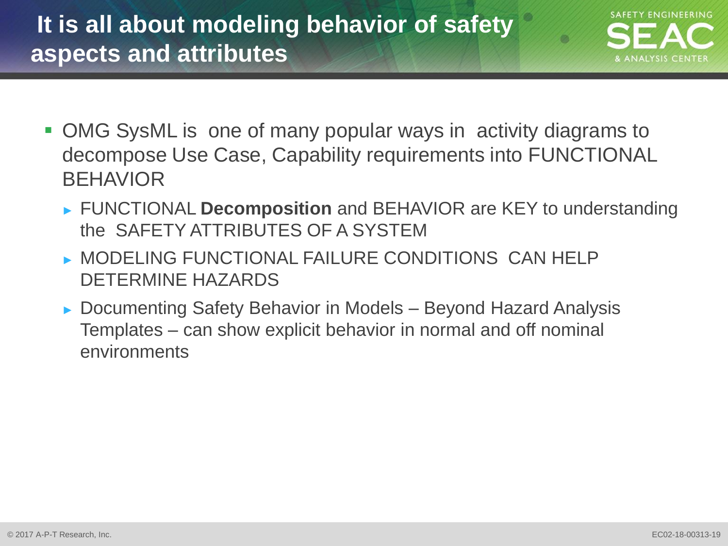# **It is all about modeling behavior of safety aspects and attributes**



- OMG SysML is one of many popular ways in activity diagrams to decompose Use Case, Capability requirements into FUNCTIONAL **BEHAVIOR** 
	- ► FUNCTIONAL **Decomposition** and BEHAVIOR are KEY to understanding the SAFETY ATTRIBUTES OF A SYSTEM
	- ► MODELING FUNCTIONAL FAILURE CONDITIONS CAN HELP DETERMINE HAZARDS
	- ► Documenting Safety Behavior in Models Beyond Hazard Analysis Templates – can show explicit behavior in normal and off nominal environments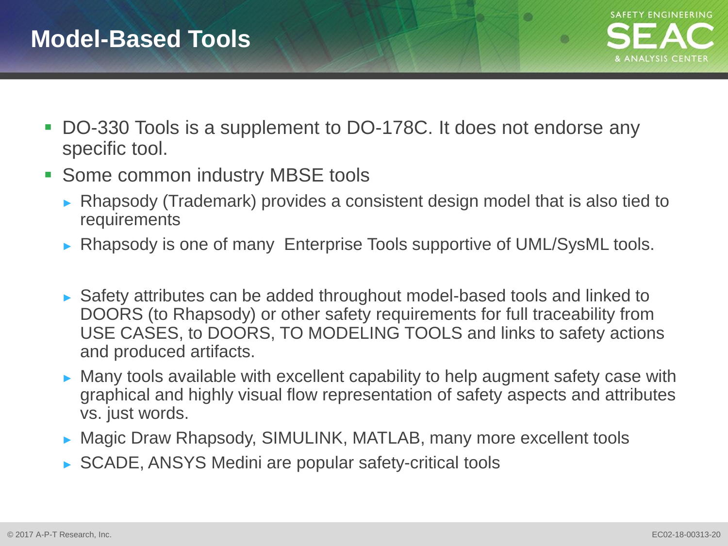**COL** 

- DO-330 Tools is a supplement to DO-178C. It does not endorse any specific tool.
- **Some common industry MBSE tools** 
	- ► Rhapsody (Trademark) provides a consistent design model that is also tied to requirements
	- ► Rhapsody is one of many Enterprise Tools supportive of UML/SysML tools.
	- ► Safety attributes can be added throughout model-based tools and linked to DOORS (to Rhapsody) or other safety requirements for full traceability from USE CASES, to DOORS, TO MODELING TOOLS and links to safety actions and produced artifacts.
	- ► Many tools available with excellent capability to help augment safety case with graphical and highly visual flow representation of safety aspects and attributes vs. just words.
	- ► Magic Draw Rhapsody, SIMULINK, MATLAB, many more excellent tools
	- ► SCADE, ANSYS Medini are popular safety-critical tools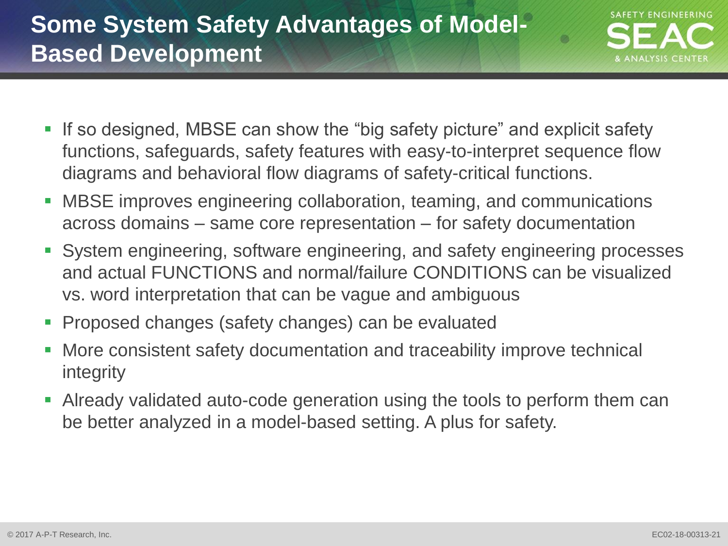# **Some System Safety Advantages of Model-Based Development**



- If so designed, MBSE can show the "big safety picture" and explicit safety functions, safeguards, safety features with easy-to-interpret sequence flow diagrams and behavioral flow diagrams of safety-critical functions.
- MBSE improves engineering collaboration, teaming, and communications across domains – same core representation – for safety documentation
- System engineering, software engineering, and safety engineering processes and actual FUNCTIONS and normal/failure CONDITIONS can be visualized vs. word interpretation that can be vague and ambiguous
- **Proposed changes (safety changes) can be evaluated**
- More consistent safety documentation and traceability improve technical integrity
- Already validated auto-code generation using the tools to perform them can be better analyzed in a model-based setting. A plus for safety.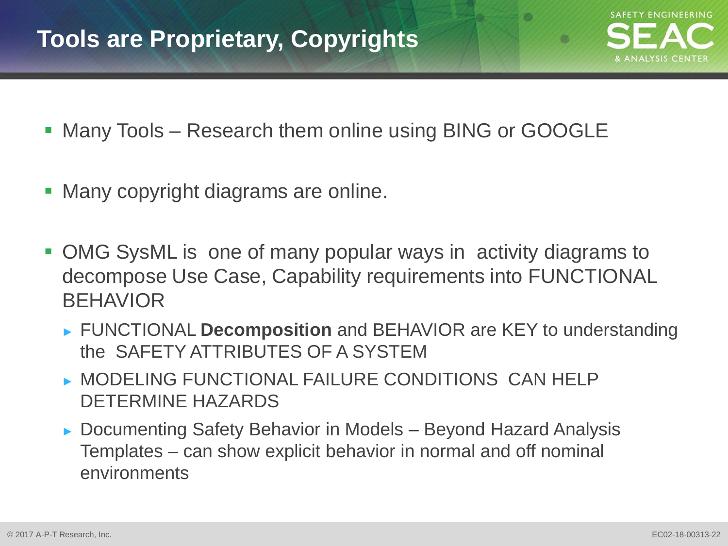**OK** 

- Many Tools Research them online using BING or GOOGLE
- Many copyright diagrams are online.
- OMG SysML is one of many popular ways in activity diagrams to decompose Use Case, Capability requirements into FUNCTIONAL BEHAVIOR
	- ► FUNCTIONAL **Decomposition** and BEHAVIOR are KEY to understanding the SAFETY ATTRIBUTES OF A SYSTEM
	- ► MODELING FUNCTIONAL FAILURE CONDITIONS CAN HELP DETERMINE HAZARDS
	- ► Documenting Safety Behavior in Models Beyond Hazard Analysis Templates – can show explicit behavior in normal and off nominal environments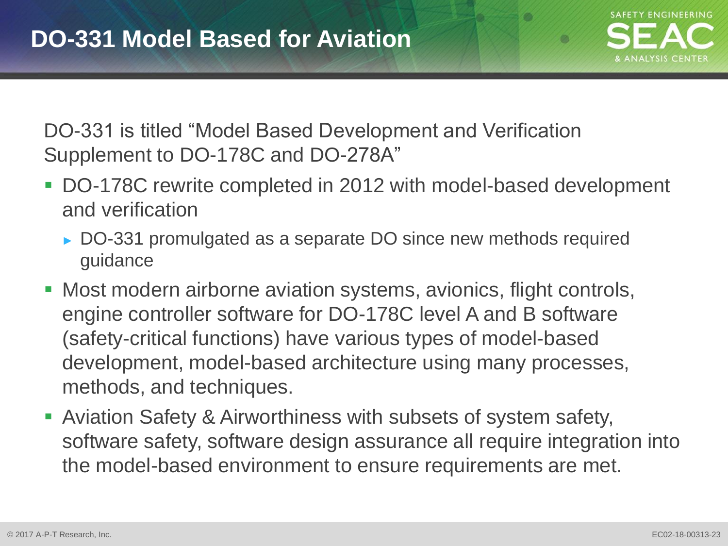

m

DO-331 is titled "Model Based Development and Verification Supplement to DO-178C and DO-278A"

- DO-178C rewrite completed in 2012 with model-based development and verification
	- ► DO-331 promulgated as a separate DO since new methods required guidance
- Most modern airborne aviation systems, avionics, flight controls, engine controller software for DO-178C level A and B software (safety-critical functions) have various types of model-based development, model-based architecture using many processes, methods, and techniques.
- Aviation Safety & Airworthiness with subsets of system safety, software safety, software design assurance all require integration into the model-based environment to ensure requirements are met.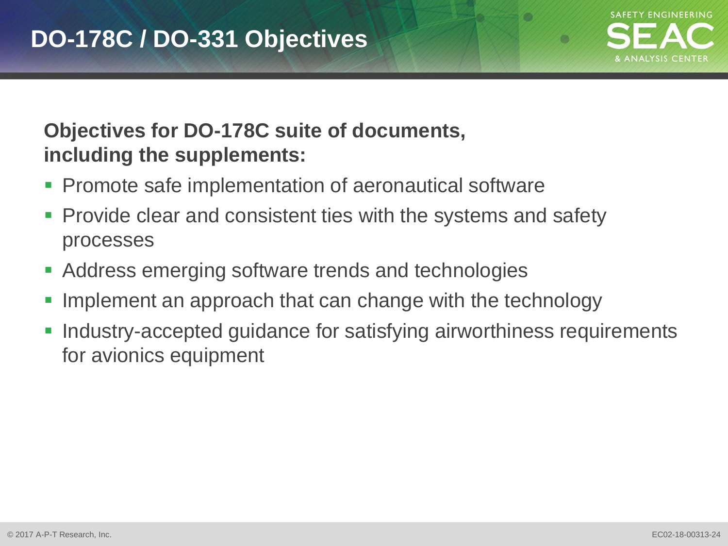

**COL** 

### **Objectives for DO-178C suite of documents, including the supplements:**

- Promote safe implementation of aeronautical software
- Provide clear and consistent ties with the systems and safety processes
- Address emerging software trends and technologies
- Implement an approach that can change with the technology
- Industry-accepted guidance for satisfying airworthiness requirements for avionics equipment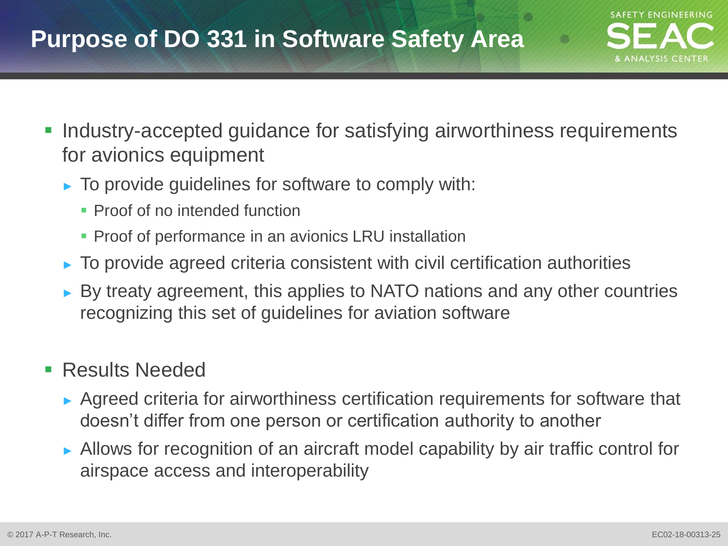## **Purpose of DO 331 in Software Safety Area**

- **Industry-accepted guidance for satisfying airworthiness requirements** for avionics equipment
	- $\triangleright$  To provide guidelines for software to comply with:
		- **Proof of no intended function**
		- **Proof of performance in an avionics LRU installation**
	- $\triangleright$  To provide agreed criteria consistent with civil certification authorities
	- ► By treaty agreement, this applies to NATO nations and any other countries recognizing this set of guidelines for aviation software

### **Results Needed**

- ► Agreed criteria for airworthiness certification requirements for software that doesn't differ from one person or certification authority to another
- ► Allows for recognition of an aircraft model capability by air traffic control for airspace access and interoperability

**SAFETY ENGINEERING**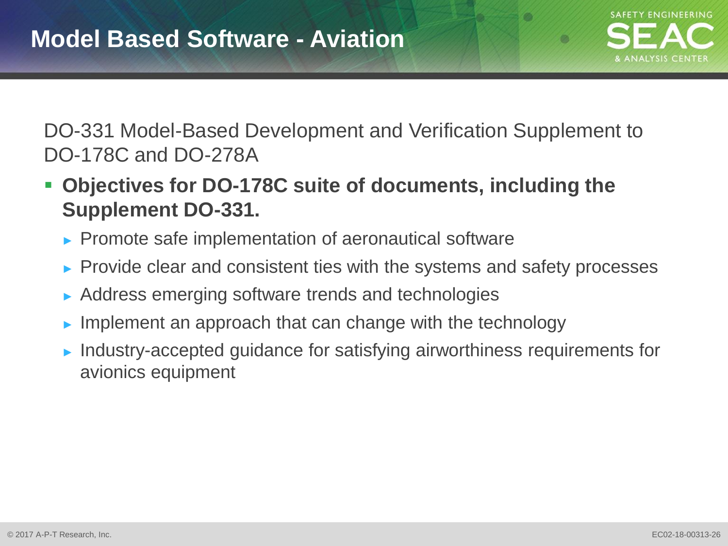

**COL** 

DO-331 Model-Based Development and Verification Supplement to DO-178C and DO-278A

- **Objectives for DO-178C suite of documents, including the Supplement DO-331.**
	- ► Promote safe implementation of aeronautical software
	- ► Provide clear and consistent ties with the systems and safety processes
	- ► Address emerging software trends and technologies
	- $\blacktriangleright$  Implement an approach that can change with the technology
	- ► Industry-accepted guidance for satisfying airworthiness requirements for avionics equipment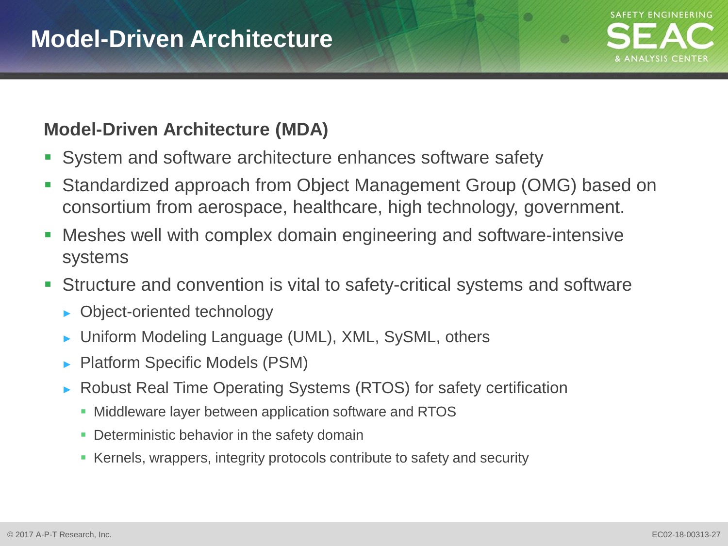m

#### **Model-Driven Architecture (MDA)**

- System and software architecture enhances software safety
- Standardized approach from Object Management Group (OMG) based on consortium from aerospace, healthcare, high technology, government.
- Meshes well with complex domain engineering and software-intensive systems
- Structure and convention is vital to safety-critical systems and software
	- ► Object-oriented technology
	- ► Uniform Modeling Language (UML), XML, SySML, others
	- ► Platform Specific Models (PSM)
	- ► Robust Real Time Operating Systems (RTOS) for safety certification
		- **Middleware layer between application software and RTOS**
		- **Deterministic behavior in the safety domain**
		- Kernels, wrappers, integrity protocols contribute to safety and security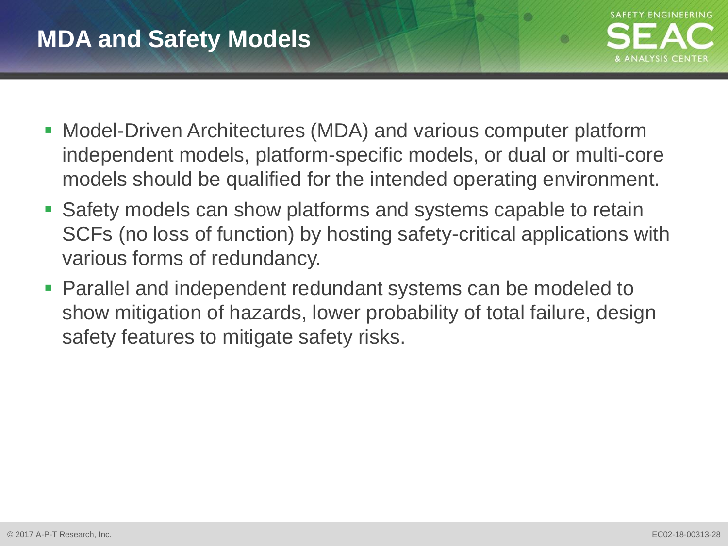### **MDA and Safety Models**



- Model-Driven Architectures (MDA) and various computer platform independent models, platform-specific models, or dual or multi-core models should be qualified for the intended operating environment.
- Safety models can show platforms and systems capable to retain SCFs (no loss of function) by hosting safety-critical applications with various forms of redundancy.
- Parallel and independent redundant systems can be modeled to show mitigation of hazards, lower probability of total failure, design safety features to mitigate safety risks.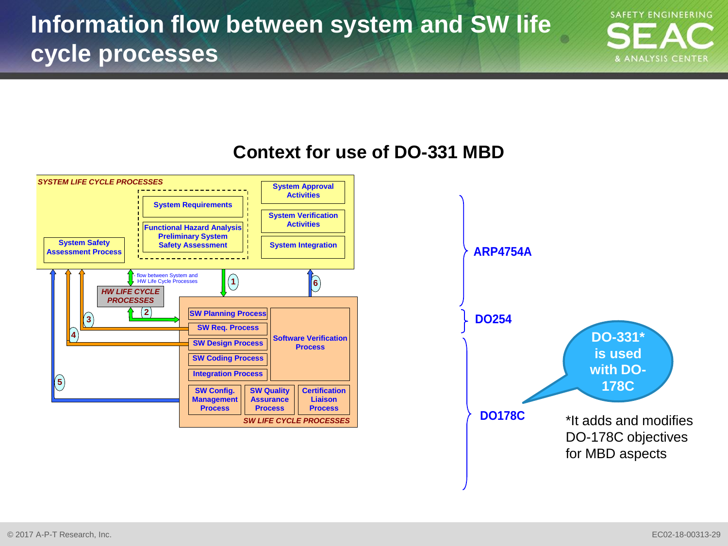**SAFETY ENGINEERING** & ANALYSIS CENTER

#### **Context for use of DO-331 MBD**



for MBD aspects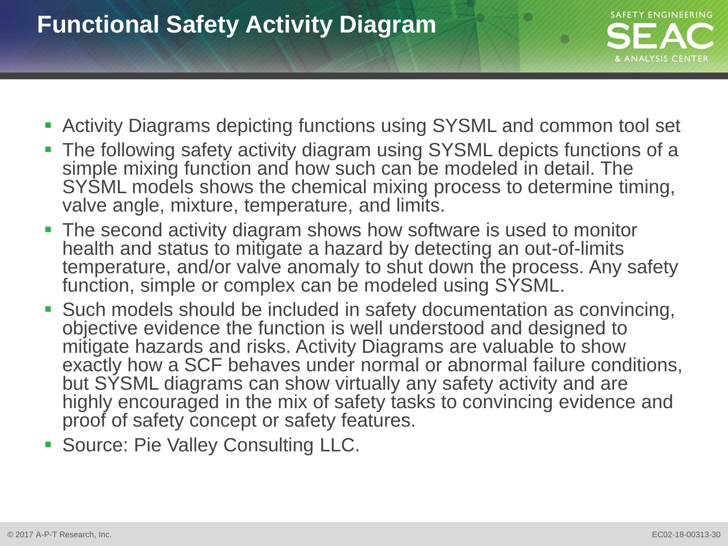# **Functional Safety Activity Diagram**



- Activity Diagrams depicting functions using SYSML and common tool set
- The following safety activity diagram using SYSML depicts functions of a simple mixing function and how such can be modeled in detail. The SYSML models shows the chemical mixing process to determine timing, valve angle, mixture, temperature, and limits.
- The second activity diagram shows how software is used to monitor health and status to mitigate a hazard by detecting an out-of-limits temperature, and/or valve anomaly to shut down the process. Any safety function, simple or complex can be modeled using SYSML.
- Such models should be included in safety documentation as convincing, objective evidence the function is well understood and designed to mitigate hazards and risks. Activity Diagrams are valuable to show exactly how a SCF behaves under normal or abnormal failure conditions, but SYSML diagrams can show virtually any safety activity and are highly encouraged in the mix of safety tasks to convincing evidence and proof of safety concept or safety features.
- Source: Pie Valley Consulting LLC.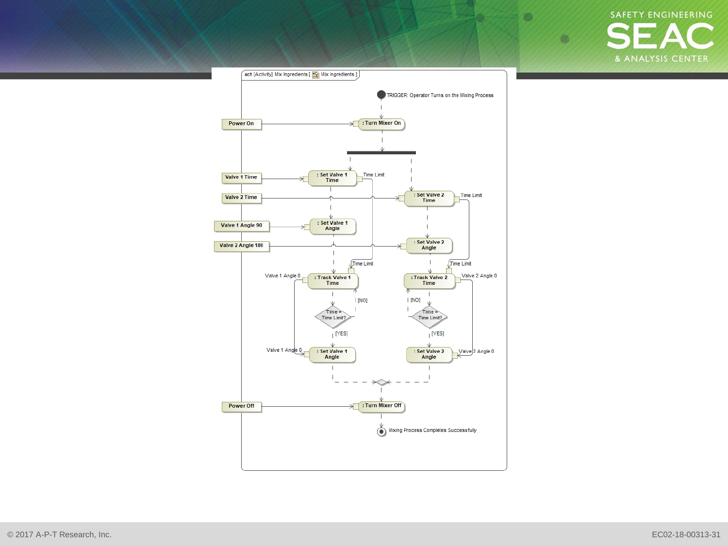SAFETY ENGINEERING & ANALYSIS CENTER

Ø.

 $\bullet$ 

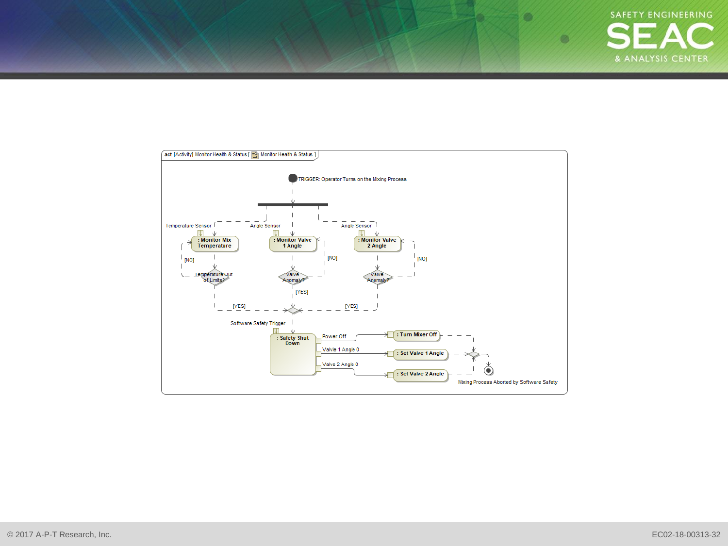

Ø.

 $\bullet$ 

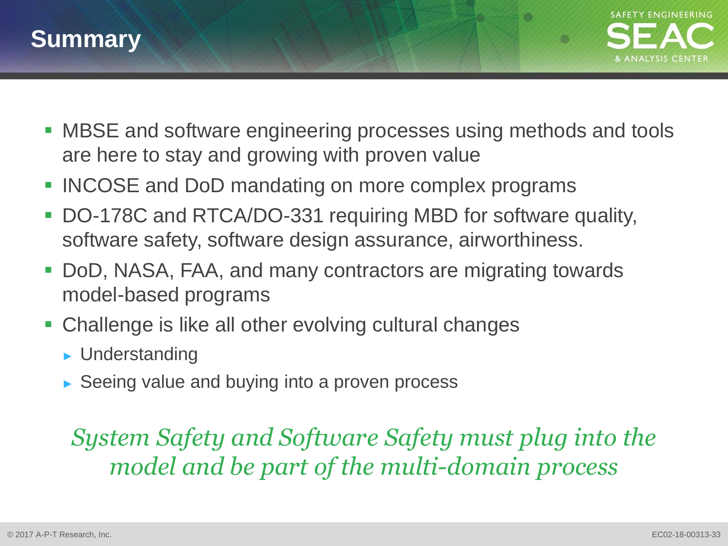



m

- MBSE and software engineering processes using methods and tools are here to stay and growing with proven value
- INCOSE and DoD mandating on more complex programs
- DO-178C and RTCA/DO-331 requiring MBD for software quality, software safety, software design assurance, airworthiness.
- DoD, NASA, FAA, and many contractors are migrating towards model-based programs
- Challenge is like all other evolving cultural changes
	- ► Understanding
	- ► Seeing value and buying into a proven process

# *System Safety and Software Safety must plug into the model and be part of the multi-domain process*